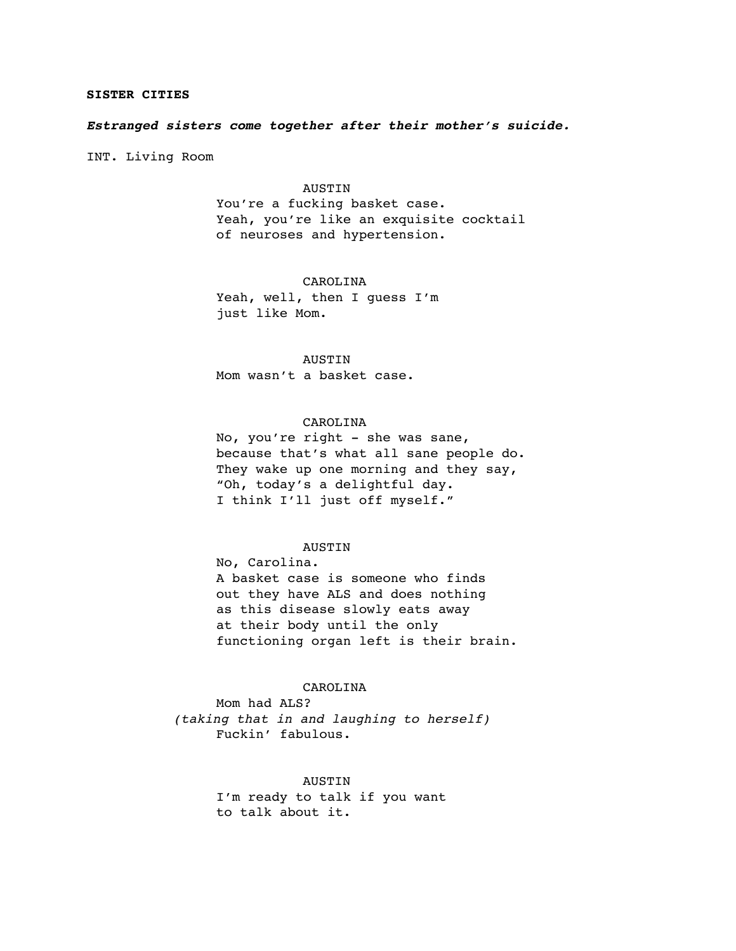## **SISTER CITIES**

## *Estranged sisters come together after their mother's suicide.*

INT. Living Room

### **AUSTIN**

You're a fucking basket case. Yeah, you're like an exquisite cocktail of neuroses and hypertension.

### CAROLINA

Yeah, well, then I guess I'm just like Mom.

**AUSTIN** Mom wasn't a basket case.

## CAROLINA

No, you're right - she was sane, because that's what all sane people do. They wake up one morning and they say, "Oh, today's a delightful day. I think I'll just off myself."

### AUSTIN

No, Carolina. A basket case is someone who finds out they have ALS and does nothing as this disease slowly eats away at their body until the only functioning organ left is their brain.

### CAROLINA

Mom had ALS? *(taking that in and laughing to herself)* Fuckin' fabulous.

# AUSTIN

I'm ready to talk if you want to talk about it.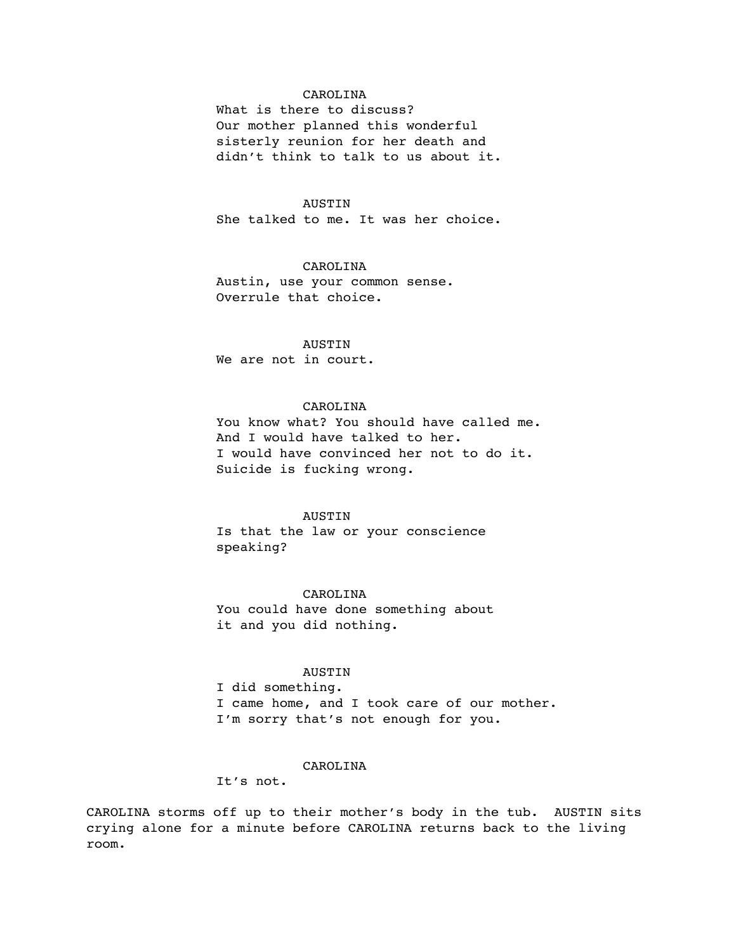## CAROLINA

What is there to discuss? Our mother planned this wonderful sisterly reunion for her death and didn't think to talk to us about it.

#### AUSTIN

She talked to me. It was her choice.

# CAROLINA

Austin, use your common sense. Overrule that choice.

# AUSTIN

We are not in court.

# CAROLINA

You know what? You should have called me. And I would have talked to her. I would have convinced her not to do it. Suicide is fucking wrong.

### AUSTIN

Is that the law or your conscience speaking?

## CAROLINA

You could have done something about it and you did nothing.

#### AUSTIN

I did something. I came home, and I took care of our mother. I'm sorry that's not enough for you.

### CAROLINA

It's not.

CAROLINA storms off up to their mother's body in the tub. AUSTIN sits crying alone for a minute before CAROLINA returns back to the living room.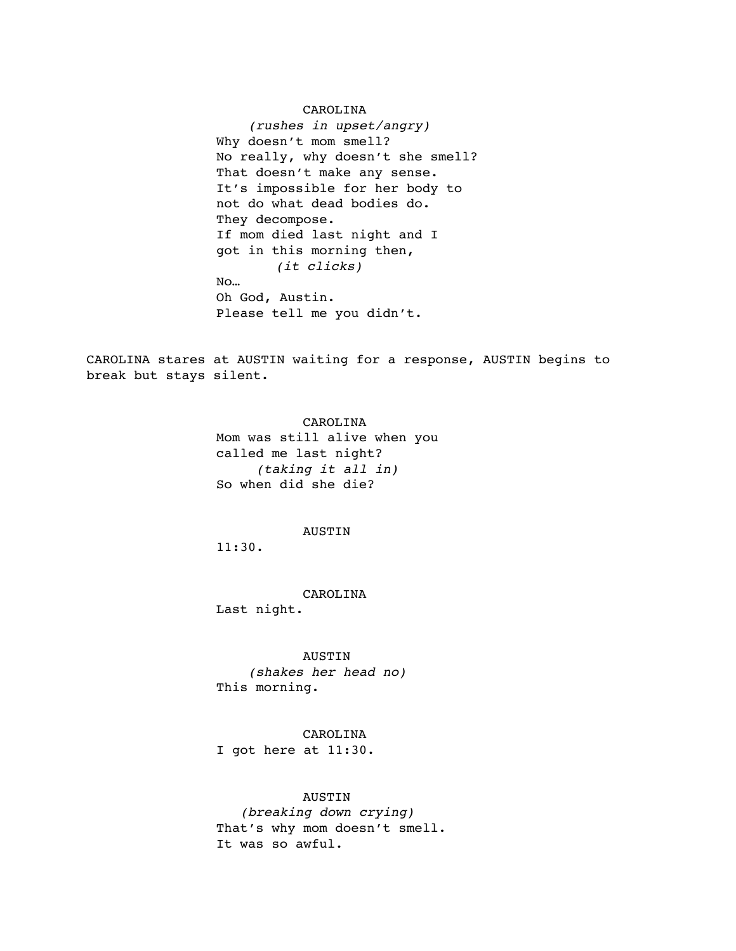#### CAROLINA

 *(rushes in upset/angry)* Why doesn't mom smell? No really, why doesn't she smell? That doesn't make any sense. It's impossible for her body to not do what dead bodies do. They decompose. If mom died last night and I got in this morning then,  *(it clicks)* No… Oh God, Austin. Please tell me you didn't.

CAROLINA stares at AUSTIN waiting for a response, AUSTIN begins to break but stays silent.

> CAROLINA Mom was still alive when you called me last night? *(taking it all in)* So when did she die?

#### AUSTIN

11:30.

CAROLINA Last night.

AUSTIN  *(shakes her head no)* This morning.

CAROLINA I got here at 11:30.

## AUSTIN

 *(breaking down crying)* That's why mom doesn't smell. It was so awful.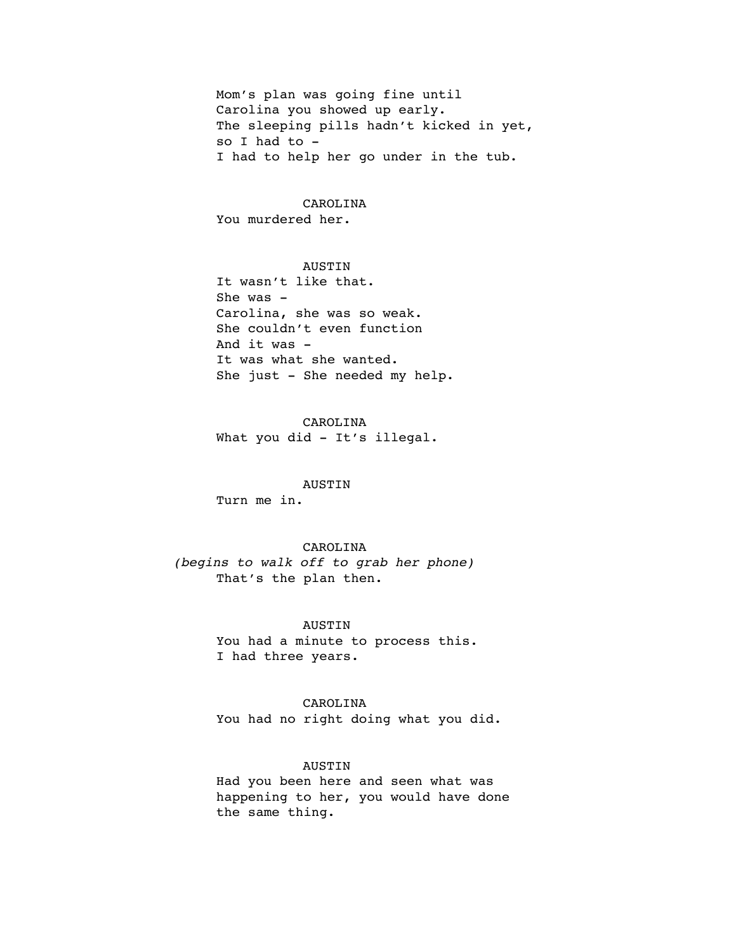Mom's plan was going fine until Carolina you showed up early. The sleeping pills hadn't kicked in yet, so I had to - I had to help her go under in the tub.

CAROLINA You murdered her.

AUSTIN It wasn't like that. She was -Carolina, she was so weak. She couldn't even function And it was - It was what she wanted. She just - She needed my help.

CAROLINA What you did - It's illegal.

AUSTIN Turn me in.

CAROLINA *(begins to walk off to grab her phone)* That's the plan then.

> AUSTIN You had a minute to process this. I had three years.

CAROLINA You had no right doing what you did.

AUSTIN Had you been here and seen what was happening to her, you would have done the same thing.